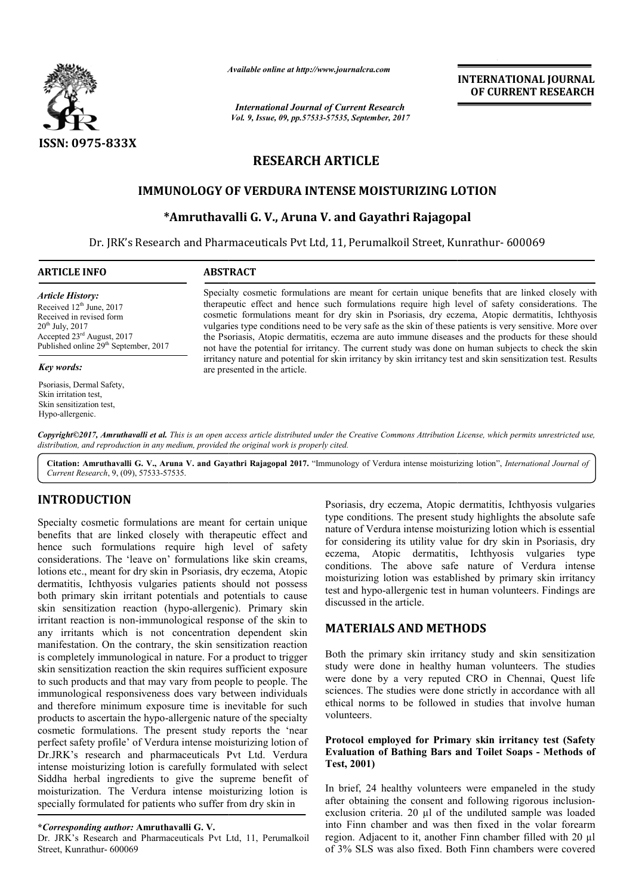

*Available online at http://www.journalcra.com*

*International Journal of Current Research Vol. 9, Issue, 09, pp.57533-57535, September, 2017* **INTERNATIONAL JOURNAL OF CURRENT RESEARCH**

# **RESEARCH ARTICLE**

## **IMMUNOLOGY OF VERDURA INTENSE MOISTURIZING LOTION INTENSE MOISTURIZING**

## **\*Amruthavalli G. Amruthavalli V., Aruna V. and Gayathri Rajagopal**

Dr. JRK's Research and Pharmaceuticals Pvt Ltd, 11, Perumalkoil Street, Kunrathur Kunrathur- 600069

### **ARTICLE INFO ABSTRACT**

*Article History:* Received 12<sup>th</sup> June, 2017 Received in revised form  $20^{th}$  July,  $2017$ Accepted 23rd August, 2017 Published online 29<sup>th</sup> September, 2017

#### *Key words:*

Psoriasis, Dermal Safety, Skin irritation test, Skin sensitization test, Hypo-allergenic.

Specialty cosmetic formulations are meant for certain unique benefits that are linked closely with Specialty cosmetic formulations are meant for certain unique benefits that are linked closely with therapeutic effect and hence such formulations require high level of safety considerations. The cosmetic formulations meant for dry skin in Psoriasis, dry eczema, Atopic dermatitis, Ichthyosis vulgaries type conditions need to be very safe as the skin of these patients is very sensitive. More over the Psoriasis, Atopic dermatitis, eczema are auto immune diseases and the products for these should not have the potential for irritancy. The current study was done on human subjects to check the skin irritancy nature and potential for skin irritancy by skin irritancy test and skin sensitization test. Re are presented in the article. cosmetic formulations meant for dry skin in Psoriasis, dry eczema, Atopic dermatitis, Ichthyosis vulgaries type conditions need to be very safe as the skin of these patients is very sensitive. More over the Psoriasis, Atop

Copyright©2017, Amruthavalli et al. This is an open access article distributed under the Creative Commons Attribution License, which permits unrestricted use, *distribution, and reproduction in any medium, provided the original work is properly cited.*

Citation: Amruthavalli G. V., Aruna V. and Gayathri Rajagopal 2017. "Immunology of Verdura intense moisturizing lotion", *International Journal of Current Research*, 9, (09), 57533-57535.

## **INTRODUCTION**

Specialty cosmetic formulations are meant for certain unique benefits that are linked closely with therapeutic effect and hence such formulations require high level of safety considerations. The 'leave on' formulations like skin creams, lotions etc., meant for dry skin in Psoriasis, dry eczema, Atopic dermatitis, Ichthyosis vulgaries patients should not possess both primary skin irritant potentials and potentials to cause skin sensitization reaction (hypo-allergenic). Primary skin irritant reaction is non-immunological response of the skin to any irritants which is not concentration dependent skin manifestation. On the contrary, the skin sensitization reaction is completely immunological in nature. For a product to trigger skin sensitization reaction the skin requires sufficient exposure to such products and that may vary from people to people. The immunological responsiveness does vary between individuals and therefore minimum exposure time is inevitable for such products to ascertain the hypo-allergenic nature of the specialty cosmetic formulations. The present study reports the 'near perfect safety profile' of Verdura intense moisturizing lotion of Dr.JRK's research and pharmaceuticals Pvt Ltd. Verdura intense moisturizing lotion is carefully formulated with select Siddha herbal ingredients to give the supreme benefit of moisturization. The Verdura intense moisturizing lotion is specially formulated for patients who suffer from dry skin in ition (hypo-allergenic). Primary skin<br>immunological response of the skin to<br>s not concentration dependent skin<br>contrary, the skin sensitization reaction<br>ogical in nature. For a product to trigger From the contrain and the period of the studies and Atopic dermatitis, Ichthyosis vulgaries and the scientistic ferformations are meant for certain unique of Verdura intense moisturizing lotion which is essential<br>effits th

Dr. JRK's Research and Pharmaceuticals Pvt Ltd, 11, Perumalkoil Street, Kunrathur- 600069

type conditions. The present study highlights the absolute safe nature of Verdura intense moisturizing lotion which is essential for considering its utility value for dry skin in Psoriasis, dry eczema, Atopic dermatitis, Ichthyosis vulgaries type conditions. The above safe nature of Verdura intense moisturizing lotion was established by primary skin irritancy test and hypo-allergenic test in human volunteers. Findings are discussed in the article. The present study highlights the absolute safe Verdura intense moisturizing lotion which is essential ering its utility value for dry skin in Psoriasis, dry Atopic dermatitis, Ichthyosis vulgaries type The above safe natur INTERNATIONAL JOURNAL<br>
INTERNATIONAL COTON<br>
INTERNATIONAL COTON<br>
INTERNATIONAL COTON<br>
INTERNATION<br>
CLE<br>
INTERNATION<br>
CLE<br>
INTERNATION<br>
CONSIDENTICATING LOTION<br>
Gayathri Rajagopal<br>
Erumalikoil Street, Kunrathur- 600069<br>
Eru

## **MATERIALS AND METHODS**

Both the primary skin irritancy study and skin sensitization study were done in healthy human volunteers. The studies were done by a very reputed CRO in Chennai, Quest life sciences. The studies were done strictly in accordance with all ethical norms to be followed in studies that involve human volunteers. allergenic test in human volunteers. Findings are<br>sed in the article.<br>**ERIALS AND METHODS**<br>the primary skin irritancy study and skin sensitization<br>were done in healthy human volunteers. The studies<br>done by a very reputed C

### **Protocol employed for Primary skin irritancy test (Safety Evaluation of Bathing Bars and Toilet Soaps - Methods of Test, 2001)**

In brief, 24 healthy volunteers were empaneled in the study after obtaining the consent and following rigorous inclusionexclusion criteria. 20 µl of the undiluted sample was loaded into Finn chamber and was then fixed in the volar forearm region. Adjacent to it, another Finn chamber filled with 20 µl of 3% SLS was also fixed. Both Finn chambers were covered

**<sup>\*</sup>***Corresponding author:* **Amruthavalli G. V.**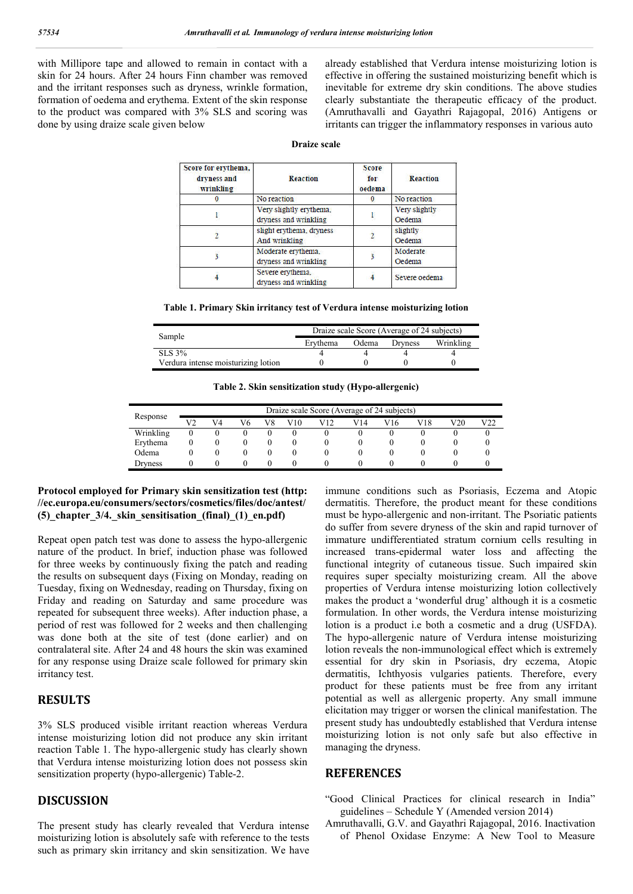with Millipore tape and allowed to remain in contact with a skin for 24 hours. After 24 hours Finn chamber was removed and the irritant responses such as dryness, wrinkle formation, formation of oedema and erythema. Extent of the skin response to the product was compared with 3% SLS and scoring was done by using draize scale given below

already established that Verdura intense moisturizing lotion is effective in offering the sustained moisturizing benefit which is inevitable for extreme dry skin conditions. The above studies clearly substantiate the therapeutic efficacy of the product. (Amruthavalli and Gayathri Rajagopal, 2016) Antigens or irritants can trigger the inflammatory responses in various auto

| <b>Draize scale</b> |  |
|---------------------|--|
|                     |  |

| Score for erythema,<br>dryness and<br>wrinkling | <b>Reaction</b>                                  | Score<br>for<br>oedema | <b>Reaction</b>                          |  |  |
|-------------------------------------------------|--------------------------------------------------|------------------------|------------------------------------------|--|--|
|                                                 | No reaction                                      |                        | No reaction                              |  |  |
|                                                 | Very slightly erythema.<br>dryness and wrinkling |                        | Very slightly<br>Oedema                  |  |  |
|                                                 | slight erythema, dryness<br>And wrinkling        |                        | slightly<br>Oedema<br>Moderate<br>Oedema |  |  |
| 3                                               | Moderate erythema.<br>dryness and wrinkling      |                        |                                          |  |  |
|                                                 | Severe erythema,<br>dryness and wrinkling        |                        | Severe oedema                            |  |  |

**Table 1. Primary Skin irritancy test of Verdura intense moisturizing lotion**

| Sample                              | Draize scale Score (Average of 24 subjects) |       |                |           |  |  |  |
|-------------------------------------|---------------------------------------------|-------|----------------|-----------|--|--|--|
|                                     | Ervthema                                    | Odema | <b>Dryness</b> | Wrinkling |  |  |  |
| SLS 3%                              |                                             |       |                |           |  |  |  |
| Verdura intense moisturizing lotion |                                             |       |                |           |  |  |  |

**Table 2. Skin sensitization study (Hypo-allergenic)**

| Response  | Draize scale Score (Average of 24 subjects) |    |    |    |     |     |     |     |     |     |     |
|-----------|---------------------------------------------|----|----|----|-----|-----|-----|-----|-----|-----|-----|
|           | V2                                          | V4 | V6 | V8 | V10 | V12 | V14 | V16 | V18 | V20 | V22 |
| Wrinkling | 0                                           |    |    |    |     |     |     |     |     |     |     |
| Erythema  |                                             |    |    |    |     |     |     |     |     |     |     |
| Odema     |                                             |    |    |    |     |     | O   |     |     |     |     |
| Dryness   |                                             |    |    |    |     |     |     |     |     |     |     |

### **Protocol employed for Primary skin sensitization test (http: //ec.europa.eu/consumers/sectors/cosmetics/files/doc/antest/ (5)\_chapter\_3/4.\_skin\_sensitisation\_(final)\_(1)\_en.pdf)**

Repeat open patch test was done to assess the hypo-allergenic nature of the product. In brief, induction phase was followed for three weeks by continuously fixing the patch and reading the results on subsequent days (Fixing on Monday, reading on Tuesday, fixing on Wednesday, reading on Thursday, fixing on Friday and reading on Saturday and same procedure was repeated for subsequent three weeks). After induction phase, a period of rest was followed for 2 weeks and then challenging was done both at the site of test (done earlier) and on contralateral site. After 24 and 48 hours the skin was examined for any response using Draize scale followed for primary skin irritancy test.

## **RESULTS**

3% SLS produced visible irritant reaction whereas Verdura intense moisturizing lotion did not produce any skin irritant reaction Table 1. The hypo-allergenic study has clearly shown that Verdura intense moisturizing lotion does not possess skin sensitization property (hypo-allergenic) Table-2.

## **DISCUSSION**

The present study has clearly revealed that Verdura intense moisturizing lotion is absolutely safe with reference to the tests such as primary skin irritancy and skin sensitization. We have

immune conditions such as Psoriasis, Eczema and Atopic dermatitis. Therefore, the product meant for these conditions must be hypo-allergenic and non-irritant. The Psoriatic patients do suffer from severe dryness of the skin and rapid turnover of immature undifferentiated stratum cornium cells resulting in increased trans-epidermal water loss and affecting the functional integrity of cutaneous tissue. Such impaired skin requires super specialty moisturizing cream. All the above properties of Verdura intense moisturizing lotion collectively makes the product a 'wonderful drug' although it is a cosmetic formulation. In other words, the Verdura intense moisturizing lotion is a product i.e both a cosmetic and a drug (USFDA). The hypo-allergenic nature of Verdura intense moisturizing lotion reveals the non-immunological effect which is extremely essential for dry skin in Psoriasis, dry eczema, Atopic dermatitis, Ichthyosis vulgaries patients. Therefore, every product for these patients must be free from any irritant potential as well as allergenic property. Any small immune elicitation may trigger or worsen the clinical manifestation. The present study has undoubtedly established that Verdura intense moisturizing lotion is not only safe but also effective in managing the dryness.

## **REFERENCES**

- "Good Clinical Practices for clinical research in India" guidelines – Schedule Y (Amended version 2014)
- Amruthavalli, G.V. and Gayathri Rajagopal, 2016. Inactivation of Phenol Oxidase Enzyme: A New Tool to Measure